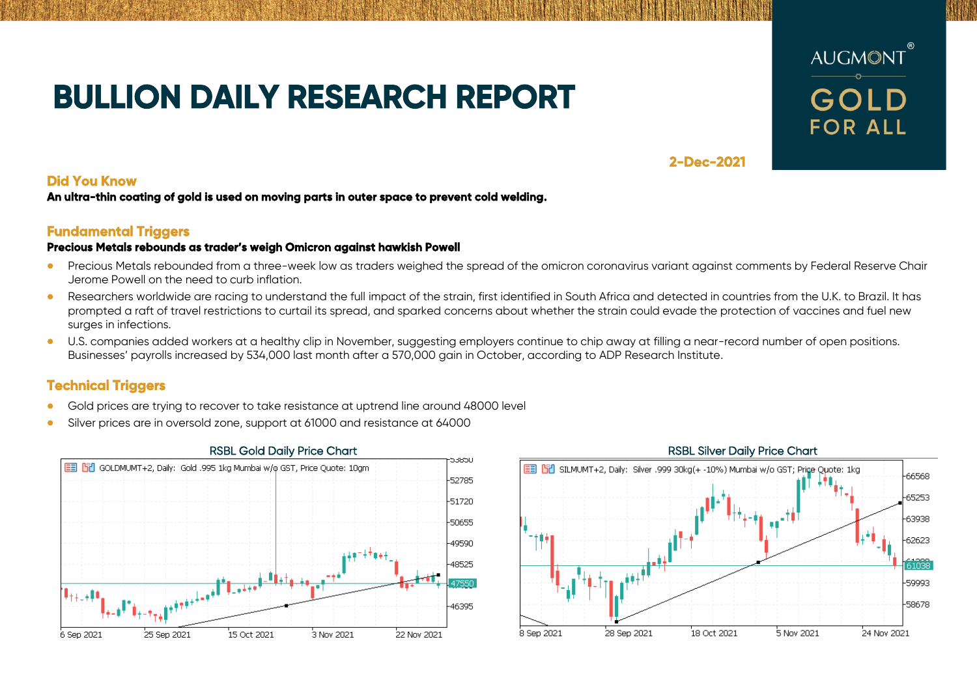# **BULLION DAILY RESEARCH REPORT**



## **2-Dec-2021**

### **Did You Know**

**An ultra-thin coating of gold is used on moving parts in outer space to prevent cold welding.** 

# **Fundamental Triggers**

### **Precious Metals rebounds as trader's weigh Omicron against hawkish Powell**

- Precious Metals rebounded from a three-week low as traders weighed the spread of the omicron coronavirus variant against comments by Federal Reserve Chair Jerome Powell on the need to curb inflation.
- Researchers worldwide are racing to understand the full impact of the strain, first identified in South Africa and detected in countries from the U.K. to Brazil. It has prompted a raft of travel restrictions to curtail its spread, and sparked concerns about whether the strain could evade the protection of vaccines and fuel new surges in infections.
- U.S. companies added workers at a healthy clip in November, suggesting employers continue to chip away at filling a near-record number of open positions. Businesses' payrolls increased by 534,000 last month after a 570,000 gain in October, according to ADP Research Institute.

# **Technical Triggers**

- Gold prices are trying to recover to take resistance at uptrend line around 48000 level
- Silver prices are in oversold zone, support at 61000 and resistance at 64000



### EEL PRIL SILMUMT+2, Daily: Silver 1999 30kg(+ -10%) Mumbai w/o GST: Price Ouote: 1kg 66568 65253 63938 62623 61038 59993 58678 .<br>28 Sep 2021 18 Oct 2021 5 Nov 2021 .<br>24 Nov 2021 .<br>8 Sep 2021